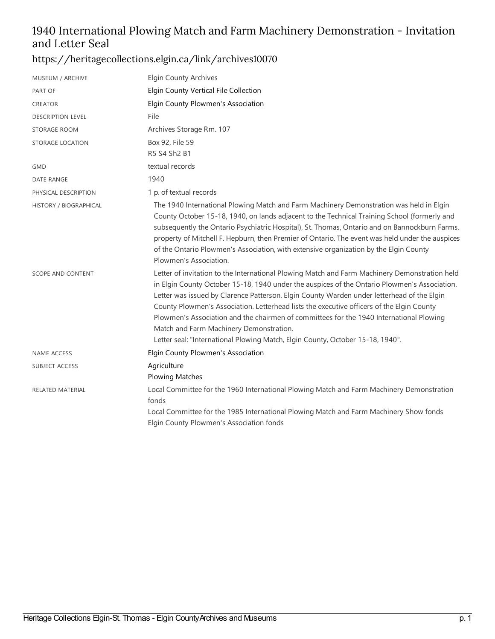## 1940 International Plowing Match and Farm Machinery Demonstration - Invitation and Letter Seal

#### <https://heritagecollections.elgin.ca/link/archives10070>

| MUSEUM / ARCHIVE         | <b>Elgin County Archives</b>                                                                                                                                                                                                                                                                                                                                                                                                                                                                                                                                                                                     |
|--------------------------|------------------------------------------------------------------------------------------------------------------------------------------------------------------------------------------------------------------------------------------------------------------------------------------------------------------------------------------------------------------------------------------------------------------------------------------------------------------------------------------------------------------------------------------------------------------------------------------------------------------|
| PART OF                  | Elgin County Vertical File Collection                                                                                                                                                                                                                                                                                                                                                                                                                                                                                                                                                                            |
| <b>CREATOR</b>           | Elgin County Plowmen's Association                                                                                                                                                                                                                                                                                                                                                                                                                                                                                                                                                                               |
| <b>DESCRIPTION LEVEL</b> | File                                                                                                                                                                                                                                                                                                                                                                                                                                                                                                                                                                                                             |
| STORAGE ROOM             | Archives Storage Rm. 107                                                                                                                                                                                                                                                                                                                                                                                                                                                                                                                                                                                         |
| STORAGE LOCATION         | Box 92, File 59<br>R5 S4 Sh2 B1                                                                                                                                                                                                                                                                                                                                                                                                                                                                                                                                                                                  |
| <b>GMD</b>               | textual records                                                                                                                                                                                                                                                                                                                                                                                                                                                                                                                                                                                                  |
| DATE RANGE               | 1940                                                                                                                                                                                                                                                                                                                                                                                                                                                                                                                                                                                                             |
| PHYSICAL DESCRIPTION     | 1 p. of textual records                                                                                                                                                                                                                                                                                                                                                                                                                                                                                                                                                                                          |
| HISTORY / BIOGRAPHICAL   | The 1940 International Plowing Match and Farm Machinery Demonstration was held in Elgin<br>County October 15-18, 1940, on lands adjacent to the Technical Training School (formerly and<br>subsequently the Ontario Psychiatric Hospital), St. Thomas, Ontario and on Bannockburn Farms,<br>property of Mitchell F. Hepburn, then Premier of Ontario. The event was held under the auspices<br>of the Ontario Plowmen's Association, with extensive organization by the Elgin County<br>Plowmen's Association.                                                                                                   |
| <b>SCOPE AND CONTENT</b> | Letter of invitation to the International Plowing Match and Farm Machinery Demonstration held<br>in Elgin County October 15-18, 1940 under the auspices of the Ontario Plowmen's Association.<br>Letter was issued by Clarence Patterson, Elgin County Warden under letterhead of the Elgin<br>County Plowmen's Association. Letterhead lists the executive officers of the Elgin County<br>Plowmen's Association and the chairmen of committees for the 1940 International Plowing<br>Match and Farm Machinery Demonstration.<br>Letter seal: "International Plowing Match, Elgin County, October 15-18, 1940". |
| <b>NAME ACCESS</b>       | Elgin County Plowmen's Association                                                                                                                                                                                                                                                                                                                                                                                                                                                                                                                                                                               |
| <b>SUBJECT ACCESS</b>    | Agriculture<br><b>Plowing Matches</b>                                                                                                                                                                                                                                                                                                                                                                                                                                                                                                                                                                            |
| RELATED MATERIAL         | Local Committee for the 1960 International Plowing Match and Farm Machinery Demonstration<br>fonds<br>Local Committee for the 1985 International Plowing Match and Farm Machinery Show fonds<br>Elgin County Plowmen's Association fonds                                                                                                                                                                                                                                                                                                                                                                         |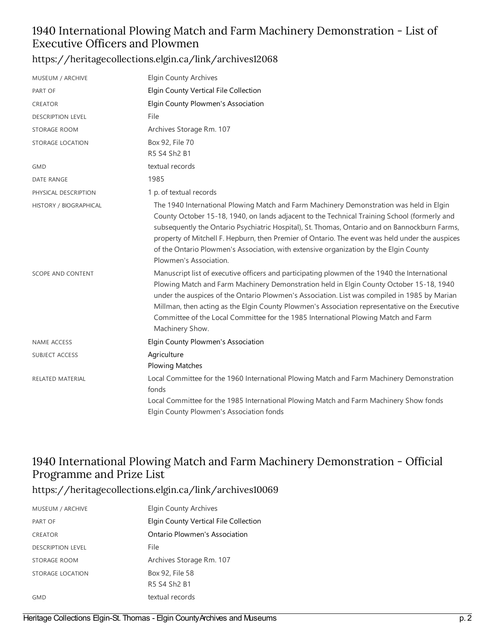#### 1940 International Plowing Match and Farm Machinery Demonstration - List of Executive Officers and Plowmen

#### <https://heritagecollections.elgin.ca/link/archives12068>

| MUSEUM / ARCHIVE                                   | <b>Elgin County Archives</b>                                                                                                                                                                                                                                                                                                                                                                                                                                                                                                                                                                                                                                                                                                                                                                               |
|----------------------------------------------------|------------------------------------------------------------------------------------------------------------------------------------------------------------------------------------------------------------------------------------------------------------------------------------------------------------------------------------------------------------------------------------------------------------------------------------------------------------------------------------------------------------------------------------------------------------------------------------------------------------------------------------------------------------------------------------------------------------------------------------------------------------------------------------------------------------|
| PART OF                                            | Elgin County Vertical File Collection                                                                                                                                                                                                                                                                                                                                                                                                                                                                                                                                                                                                                                                                                                                                                                      |
| <b>CREATOR</b>                                     | Elgin County Plowmen's Association                                                                                                                                                                                                                                                                                                                                                                                                                                                                                                                                                                                                                                                                                                                                                                         |
| <b>DESCRIPTION LEVEL</b>                           | File                                                                                                                                                                                                                                                                                                                                                                                                                                                                                                                                                                                                                                                                                                                                                                                                       |
| STORAGE ROOM                                       | Archives Storage Rm. 107                                                                                                                                                                                                                                                                                                                                                                                                                                                                                                                                                                                                                                                                                                                                                                                   |
| STORAGE LOCATION                                   | Box 92, File 70                                                                                                                                                                                                                                                                                                                                                                                                                                                                                                                                                                                                                                                                                                                                                                                            |
|                                                    | R5 S4 Sh2 B1                                                                                                                                                                                                                                                                                                                                                                                                                                                                                                                                                                                                                                                                                                                                                                                               |
| <b>GMD</b>                                         | textual records                                                                                                                                                                                                                                                                                                                                                                                                                                                                                                                                                                                                                                                                                                                                                                                            |
| DATE RANGE                                         | 1985                                                                                                                                                                                                                                                                                                                                                                                                                                                                                                                                                                                                                                                                                                                                                                                                       |
| PHYSICAL DESCRIPTION                               | 1 p. of textual records                                                                                                                                                                                                                                                                                                                                                                                                                                                                                                                                                                                                                                                                                                                                                                                    |
| HISTORY / BIOGRAPHICAL<br><b>SCOPE AND CONTENT</b> | The 1940 International Plowing Match and Farm Machinery Demonstration was held in Elgin<br>County October 15-18, 1940, on lands adjacent to the Technical Training School (formerly and<br>subsequently the Ontario Psychiatric Hospital), St. Thomas, Ontario and on Bannockburn Farms,<br>property of Mitchell F. Hepburn, then Premier of Ontario. The event was held under the auspices<br>of the Ontario Plowmen's Association, with extensive organization by the Elgin County<br>Plowmen's Association.<br>Manuscript list of executive officers and participating plowmen of the 1940 the International<br>Plowing Match and Farm Machinery Demonstration held in Elgin County October 15-18, 1940<br>under the auspices of the Ontario Plowmen's Association. List was compiled in 1985 by Marian |
|                                                    | Millman, then acting as the Elgin County Plowmen's Association representative on the Executive<br>Committee of the Local Committee for the 1985 International Plowing Match and Farm<br>Machinery Show.                                                                                                                                                                                                                                                                                                                                                                                                                                                                                                                                                                                                    |
| <b>NAME ACCESS</b>                                 | Elgin County Plowmen's Association                                                                                                                                                                                                                                                                                                                                                                                                                                                                                                                                                                                                                                                                                                                                                                         |
| <b>SUBJECT ACCESS</b>                              | Agriculture<br><b>Plowing Matches</b>                                                                                                                                                                                                                                                                                                                                                                                                                                                                                                                                                                                                                                                                                                                                                                      |
| RELATED MATERIAL                                   | Local Committee for the 1960 International Plowing Match and Farm Machinery Demonstration<br>fonds                                                                                                                                                                                                                                                                                                                                                                                                                                                                                                                                                                                                                                                                                                         |
|                                                    | Local Committee for the 1985 International Plowing Match and Farm Machinery Show fonds<br>Elgin County Plowmen's Association fonds                                                                                                                                                                                                                                                                                                                                                                                                                                                                                                                                                                                                                                                                         |

#### 1940 International Plowing Match and Farm Machinery Demonstration - Official Programme and Prize List

#### <https://heritagecollections.elgin.ca/link/archives10069>

| MUSEUM / ARCHIVE         | Elgin County Archives                 |
|--------------------------|---------------------------------------|
| PART OF                  | Elgin County Vertical File Collection |
| <b>CREATOR</b>           | Ontario Plowmen's Association         |
| <b>DESCRIPTION LEVEL</b> | File                                  |
| STORAGE ROOM             | Archives Storage Rm. 107              |
| STORAGE LOCATION         | Box 92, File 58                       |
|                          | R5 S4 Sh2 B1                          |
| GMD                      | textual records                       |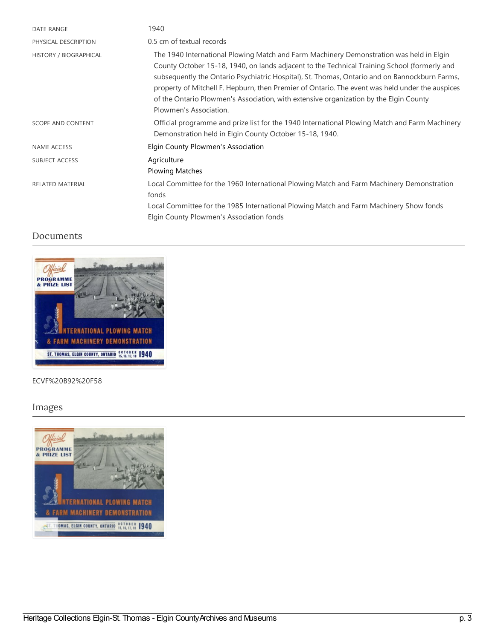| <b>DATE RANGE</b>       | 1940                                                                                                                                                                                                                                                                                                                                                                                                                                                                                                           |
|-------------------------|----------------------------------------------------------------------------------------------------------------------------------------------------------------------------------------------------------------------------------------------------------------------------------------------------------------------------------------------------------------------------------------------------------------------------------------------------------------------------------------------------------------|
| PHYSICAL DESCRIPTION    | 0.5 cm of textual records                                                                                                                                                                                                                                                                                                                                                                                                                                                                                      |
| HISTORY / BIOGRAPHICAL  | The 1940 International Plowing Match and Farm Machinery Demonstration was held in Elgin<br>County October 15-18, 1940, on lands adjacent to the Technical Training School (formerly and<br>subsequently the Ontario Psychiatric Hospital), St. Thomas, Ontario and on Bannockburn Farms,<br>property of Mitchell F. Hepburn, then Premier of Ontario. The event was held under the auspices<br>of the Ontario Plowmen's Association, with extensive organization by the Elgin County<br>Plowmen's Association. |
| SCOPE AND CONTENT       | Official programme and prize list for the 1940 International Plowing Match and Farm Machinery<br>Demonstration held in Elgin County October 15-18, 1940.                                                                                                                                                                                                                                                                                                                                                       |
| <b>NAME ACCESS</b>      | Elgin County Plowmen's Association                                                                                                                                                                                                                                                                                                                                                                                                                                                                             |
| SUBJECT ACCESS          | Agriculture<br><b>Plowing Matches</b>                                                                                                                                                                                                                                                                                                                                                                                                                                                                          |
| <b>RELATED MATERIAL</b> | Local Committee for the 1960 International Plowing Match and Farm Machinery Demonstration<br>fonds<br>Local Committee for the 1985 International Plowing Match and Farm Machinery Show fonds<br>Elgin County Plowmen's Association fonds                                                                                                                                                                                                                                                                       |

#### Documents



#### ECVF%20B92%20F58

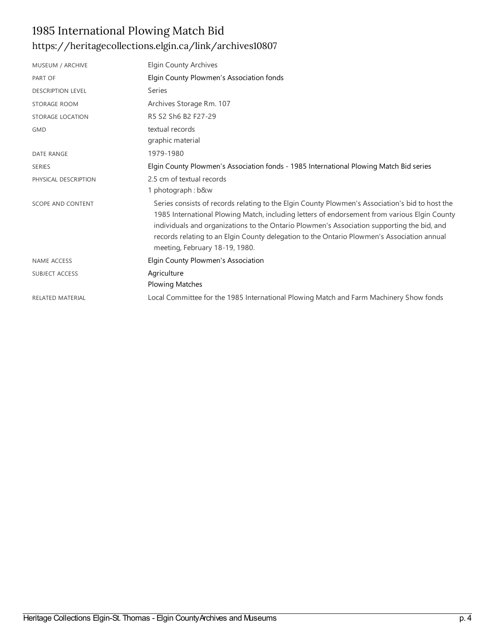## 1985 International Plowing Match Bid <https://heritagecollections.elgin.ca/link/archives10807>

| MUSEUM / ARCHIVE         | <b>Elgin County Archives</b>                                                                                                                                                                                                                                                                                                                                                                                                  |
|--------------------------|-------------------------------------------------------------------------------------------------------------------------------------------------------------------------------------------------------------------------------------------------------------------------------------------------------------------------------------------------------------------------------------------------------------------------------|
| PART OF                  | Elgin County Plowmen's Association fonds                                                                                                                                                                                                                                                                                                                                                                                      |
| <b>DESCRIPTION LEVEL</b> | Series                                                                                                                                                                                                                                                                                                                                                                                                                        |
| STORAGE ROOM             | Archives Storage Rm. 107                                                                                                                                                                                                                                                                                                                                                                                                      |
| STORAGE LOCATION         | R5 S2 Sh6 B2 F27-29                                                                                                                                                                                                                                                                                                                                                                                                           |
| <b>GMD</b>               | textual records<br>graphic material                                                                                                                                                                                                                                                                                                                                                                                           |
| <b>DATE RANGE</b>        | 1979-1980                                                                                                                                                                                                                                                                                                                                                                                                                     |
| <b>SERIES</b>            | Elgin County Plowmen's Association fonds - 1985 International Plowing Match Bid series                                                                                                                                                                                                                                                                                                                                        |
| PHYSICAL DESCRIPTION     | 2.5 cm of textual records<br>1 photograph: b&w                                                                                                                                                                                                                                                                                                                                                                                |
| <b>SCOPE AND CONTENT</b> | Series consists of records relating to the Elgin County Plowmen's Association's bid to host the<br>1985 International Plowing Match, including letters of endorsement from various Elgin County<br>individuals and organizations to the Ontario Plowmen's Association supporting the bid, and<br>records relating to an Elgin County delegation to the Ontario Plowmen's Association annual<br>meeting, February 18-19, 1980. |
| <b>NAME ACCESS</b>       | Elgin County Plowmen's Association                                                                                                                                                                                                                                                                                                                                                                                            |
| SUBJECT ACCESS           | Agriculture<br><b>Plowing Matches</b>                                                                                                                                                                                                                                                                                                                                                                                         |
| <b>RELATED MATERIAL</b>  | Local Committee for the 1985 International Plowing Match and Farm Machinery Show fonds                                                                                                                                                                                                                                                                                                                                        |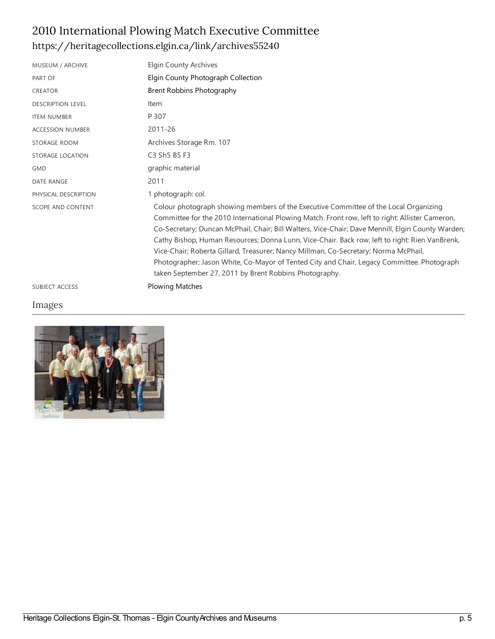## 2010 International Plowing Match Executive Committee <https://heritagecollections.elgin.ca/link/archives55240>

| MUSEUM / ARCHIVE         | <b>Elgin County Archives</b>                                                                                                                                                                                                                                                                                                                                                                                                                                                                                                                                                                                                                  |
|--------------------------|-----------------------------------------------------------------------------------------------------------------------------------------------------------------------------------------------------------------------------------------------------------------------------------------------------------------------------------------------------------------------------------------------------------------------------------------------------------------------------------------------------------------------------------------------------------------------------------------------------------------------------------------------|
| PART OF                  | Elgin County Photograph Collection                                                                                                                                                                                                                                                                                                                                                                                                                                                                                                                                                                                                            |
| <b>CREATOR</b>           | Brent Robbins Photography                                                                                                                                                                                                                                                                                                                                                                                                                                                                                                                                                                                                                     |
| <b>DESCRIPTION LEVEL</b> | Item                                                                                                                                                                                                                                                                                                                                                                                                                                                                                                                                                                                                                                          |
| <b>ITEM NUMBER</b>       | P 307                                                                                                                                                                                                                                                                                                                                                                                                                                                                                                                                                                                                                                         |
| <b>ACCESSION NUMBER</b>  | 2011-26                                                                                                                                                                                                                                                                                                                                                                                                                                                                                                                                                                                                                                       |
| STORAGE ROOM             | Archives Storage Rm. 107                                                                                                                                                                                                                                                                                                                                                                                                                                                                                                                                                                                                                      |
| <b>STORAGE LOCATION</b>  | C3 Sh5 B5 F3                                                                                                                                                                                                                                                                                                                                                                                                                                                                                                                                                                                                                                  |
| <b>GMD</b>               | graphic material                                                                                                                                                                                                                                                                                                                                                                                                                                                                                                                                                                                                                              |
| <b>DATE RANGE</b>        | 2011                                                                                                                                                                                                                                                                                                                                                                                                                                                                                                                                                                                                                                          |
| PHYSICAL DESCRIPTION     | 1 photograph: col.                                                                                                                                                                                                                                                                                                                                                                                                                                                                                                                                                                                                                            |
| <b>SCOPE AND CONTENT</b> | Colour photograph showing members of the Executive Committee of the Local Organizing<br>Committee for the 2010 International Plowing Match. Front row, left to right: Allister Cameron,<br>Co-Secretary; Duncan McPhail, Chair; Bill Walters, Vice-Chair; Dave Mennill, Elgin County Warden;<br>Cathy Bishop, Human Resources; Donna Lunn, Vice-Chair. Back row, left to right: Rien VanBrenk,<br>Vice-Chair; Roberta Gillard, Treasurer; Nancy Millman, Co-Secretary; Norma McPhail,<br>Photographer; Jason White, Co-Mayor of Tented City and Chair, Legacy Committee. Photograph<br>taken September 27, 2011 by Brent Robbins Photography. |
| <b>SUBJECT ACCESS</b>    | <b>Plowing Matches</b>                                                                                                                                                                                                                                                                                                                                                                                                                                                                                                                                                                                                                        |

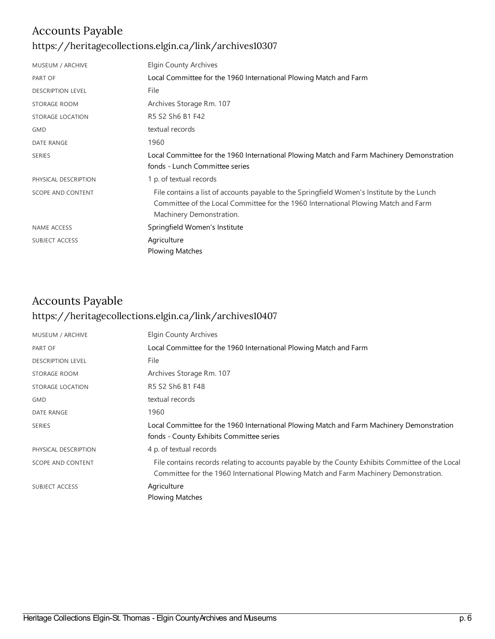### Accounts Payable

#### <https://heritagecollections.elgin.ca/link/archives10307>

| MUSEUM / ARCHIVE         | <b>Elgin County Archives</b>                                                                                                                                                                                 |
|--------------------------|--------------------------------------------------------------------------------------------------------------------------------------------------------------------------------------------------------------|
| <b>PART OF</b>           | Local Committee for the 1960 International Plowing Match and Farm                                                                                                                                            |
| <b>DESCRIPTION LEVEL</b> | File                                                                                                                                                                                                         |
| STORAGE ROOM             | Archives Storage Rm. 107                                                                                                                                                                                     |
| STORAGE LOCATION         | R5 S2 Sh6 B1 F42                                                                                                                                                                                             |
| <b>GMD</b>               | textual records                                                                                                                                                                                              |
| <b>DATE RANGE</b>        | 1960                                                                                                                                                                                                         |
| <b>SERIES</b>            | Local Committee for the 1960 International Plowing Match and Farm Machinery Demonstration<br>fonds - Lunch Committee series                                                                                  |
| PHYSICAL DESCRIPTION     | 1 p. of textual records                                                                                                                                                                                      |
| SCOPE AND CONTENT        | File contains a list of accounts payable to the Springfield Women's Institute by the Lunch<br>Committee of the Local Committee for the 1960 International Plowing Match and Farm<br>Machinery Demonstration. |
| NAME ACCESS              | Springfield Women's Institute                                                                                                                                                                                |
| SUBJECT ACCESS           | Agriculture                                                                                                                                                                                                  |
|                          | <b>Plowing Matches</b>                                                                                                                                                                                       |

## Accounts Payable <https://heritagecollections.elgin.ca/link/archives10407>

| MUSEUM / ARCHIVE         | <b>Elgin County Archives</b>                                                                                                                                                             |
|--------------------------|------------------------------------------------------------------------------------------------------------------------------------------------------------------------------------------|
| PART OF                  | Local Committee for the 1960 International Plowing Match and Farm                                                                                                                        |
| <b>DESCRIPTION LEVEL</b> | File                                                                                                                                                                                     |
| STORAGE ROOM             | Archives Storage Rm. 107                                                                                                                                                                 |
| STORAGE LOCATION         | R5 S2 Sh6 B1 F48                                                                                                                                                                         |
| <b>GMD</b>               | textual records                                                                                                                                                                          |
| <b>DATE RANGE</b>        | 1960                                                                                                                                                                                     |
| <b>SERIES</b>            | Local Committee for the 1960 International Plowing Match and Farm Machinery Demonstration<br>fonds - County Exhibits Committee series                                                    |
| PHYSICAL DESCRIPTION     | 4 p. of textual records                                                                                                                                                                  |
| SCOPE AND CONTENT        | File contains records relating to accounts payable by the County Exhibits Committee of the Local<br>Committee for the 1960 International Plowing Match and Farm Machinery Demonstration. |
| <b>SUBJECT ACCESS</b>    | Agriculture                                                                                                                                                                              |
|                          | <b>Plowing Matches</b>                                                                                                                                                                   |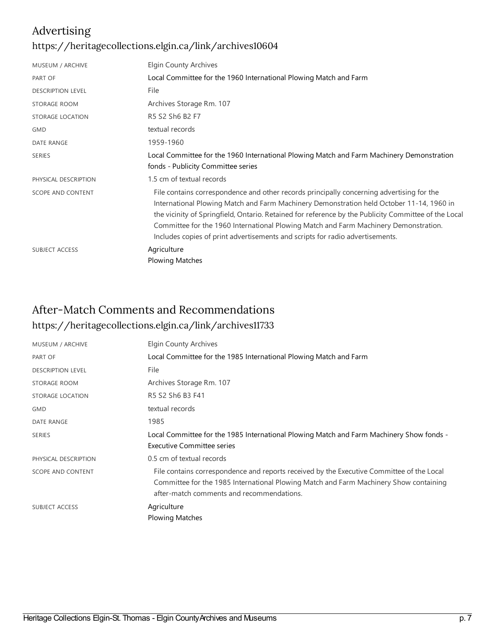### Advertising <https://heritagecollections.elgin.ca/link/archives10604>

| Elgin County Archives                                                                                                                                                                                                                                                                                                                                                                                                                                                  |
|------------------------------------------------------------------------------------------------------------------------------------------------------------------------------------------------------------------------------------------------------------------------------------------------------------------------------------------------------------------------------------------------------------------------------------------------------------------------|
| Local Committee for the 1960 International Plowing Match and Farm                                                                                                                                                                                                                                                                                                                                                                                                      |
| File                                                                                                                                                                                                                                                                                                                                                                                                                                                                   |
| Archives Storage Rm. 107                                                                                                                                                                                                                                                                                                                                                                                                                                               |
| R5 S2 Sh6 B2 F7                                                                                                                                                                                                                                                                                                                                                                                                                                                        |
| textual records                                                                                                                                                                                                                                                                                                                                                                                                                                                        |
| 1959-1960                                                                                                                                                                                                                                                                                                                                                                                                                                                              |
| Local Committee for the 1960 International Plowing Match and Farm Machinery Demonstration<br>fonds - Publicity Committee series                                                                                                                                                                                                                                                                                                                                        |
| 1.5 cm of textual records                                                                                                                                                                                                                                                                                                                                                                                                                                              |
| File contains correspondence and other records principally concerning advertising for the<br>International Plowing Match and Farm Machinery Demonstration held October 11-14, 1960 in<br>the vicinity of Springfield, Ontario. Retained for reference by the Publicity Committee of the Local<br>Committee for the 1960 International Plowing Match and Farm Machinery Demonstration.<br>Includes copies of print advertisements and scripts for radio advertisements. |
| Agriculture<br><b>Plowing Matches</b>                                                                                                                                                                                                                                                                                                                                                                                                                                  |
|                                                                                                                                                                                                                                                                                                                                                                                                                                                                        |

#### After-Match Commentsand Recommendations <https://heritagecollections.elgin.ca/link/archives11733>

| MUSEUM / ARCHIVE         | <b>Elgin County Archives</b>                                                                                                                                                                                                    |
|--------------------------|---------------------------------------------------------------------------------------------------------------------------------------------------------------------------------------------------------------------------------|
| PART OF                  | Local Committee for the 1985 International Plowing Match and Farm                                                                                                                                                               |
| <b>DESCRIPTION LEVEL</b> | File                                                                                                                                                                                                                            |
| STORAGE ROOM             | Archives Storage Rm. 107                                                                                                                                                                                                        |
| STORAGE LOCATION         | R5 S2 Sh6 B3 F41                                                                                                                                                                                                                |
| <b>GMD</b>               | textual records                                                                                                                                                                                                                 |
| DATE RANGE               | 1985                                                                                                                                                                                                                            |
| <b>SERIES</b>            | Local Committee for the 1985 International Plowing Match and Farm Machinery Show fonds -<br>Executive Committee series                                                                                                          |
|                          |                                                                                                                                                                                                                                 |
| PHYSICAL DESCRIPTION     | 0.5 cm of textual records                                                                                                                                                                                                       |
| <b>SCOPE AND CONTENT</b> | File contains correspondence and reports received by the Executive Committee of the Local<br>Committee for the 1985 International Plowing Match and Farm Machinery Show containing<br>after-match comments and recommendations. |
| <b>SUBJECT ACCESS</b>    | Agriculture                                                                                                                                                                                                                     |
|                          | <b>Plowing Matches</b>                                                                                                                                                                                                          |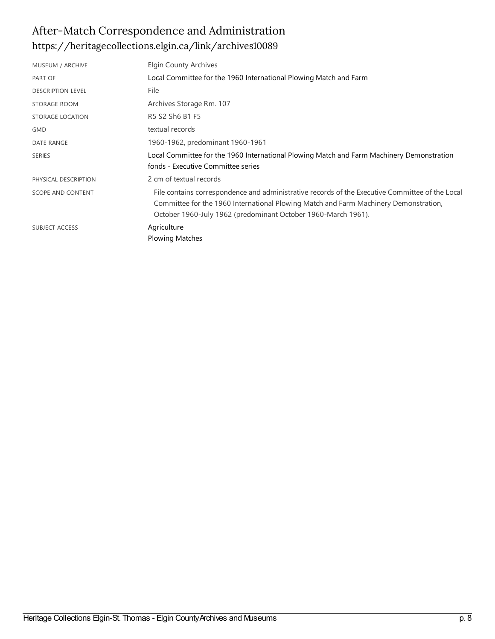## After-Match Correspondence and Administration <https://heritagecollections.elgin.ca/link/archives10089>

| MUSEUM / ARCHIVE         | Elgin County Archives                                                                                                                                                                                                                                    |
|--------------------------|----------------------------------------------------------------------------------------------------------------------------------------------------------------------------------------------------------------------------------------------------------|
| PART OF                  | Local Committee for the 1960 International Plowing Match and Farm                                                                                                                                                                                        |
| <b>DESCRIPTION LEVEL</b> | File                                                                                                                                                                                                                                                     |
| STORAGE ROOM             | Archives Storage Rm. 107                                                                                                                                                                                                                                 |
| STORAGE LOCATION         | R5 S2 Sh6 B1 F5                                                                                                                                                                                                                                          |
| <b>GMD</b>               | textual records                                                                                                                                                                                                                                          |
| DATE RANGE               | 1960-1962, predominant 1960-1961                                                                                                                                                                                                                         |
| <b>SERIES</b>            | Local Committee for the 1960 International Plowing Match and Farm Machinery Demonstration<br>fonds - Executive Committee series                                                                                                                          |
| PHYSICAL DESCRIPTION     | 2 cm of textual records                                                                                                                                                                                                                                  |
| SCOPE AND CONTENT        | File contains correspondence and administrative records of the Executive Committee of the Local<br>Committee for the 1960 International Plowing Match and Farm Machinery Demonstration,<br>October 1960-July 1962 (predominant October 1960-March 1961). |
| <b>SUBJECT ACCESS</b>    | Agriculture<br><b>Plowing Matches</b>                                                                                                                                                                                                                    |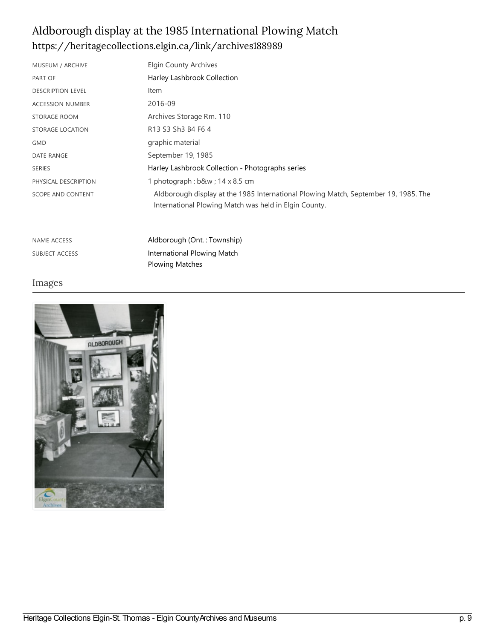### Aldborough display at the 1985 International Plowing Match <https://heritagecollections.elgin.ca/link/archives188989>

Plowing [Matches](https://heritagecollections.elgin.ca/list?q=topic%253A%2522Plowing%20Matches%2522&p=1&ps=&sort=title_sort%20asc)

| MUSEUM / ARCHIVE         | Elgin County Archives                                                                                                                        |
|--------------------------|----------------------------------------------------------------------------------------------------------------------------------------------|
| PART OF                  | Harley Lashbrook Collection                                                                                                                  |
| <b>DESCRIPTION LEVEL</b> | Item                                                                                                                                         |
| <b>ACCESSION NUMBER</b>  | 2016-09                                                                                                                                      |
| STORAGE ROOM             | Archives Storage Rm. 110                                                                                                                     |
| STORAGE LOCATION         | R13 S3 Sh3 B4 F6 4                                                                                                                           |
| <b>GMD</b>               | graphic material                                                                                                                             |
| DATE RANGE               | September 19, 1985                                                                                                                           |
| <b>SERIES</b>            | Harley Lashbrook Collection - Photographs series                                                                                             |
| PHYSICAL DESCRIPTION     | 1 photograph: b&w 14 x 8.5 cm                                                                                                                |
| <b>SCOPE AND CONTENT</b> | Aldborough display at the 1985 International Plowing Match, September 19, 1985. The<br>International Plowing Match was held in Elgin County. |
| <b>NAME ACCESS</b>       | Aldborough (Ont.: Township)                                                                                                                  |

SUBJECT ACCESS **[International](https://heritagecollections.elgin.ca/list?q=topic%253A%2522International%20Plowing%20Match%2522&p=1&ps=&sort=title_sort%20asc) Plowing Match** 

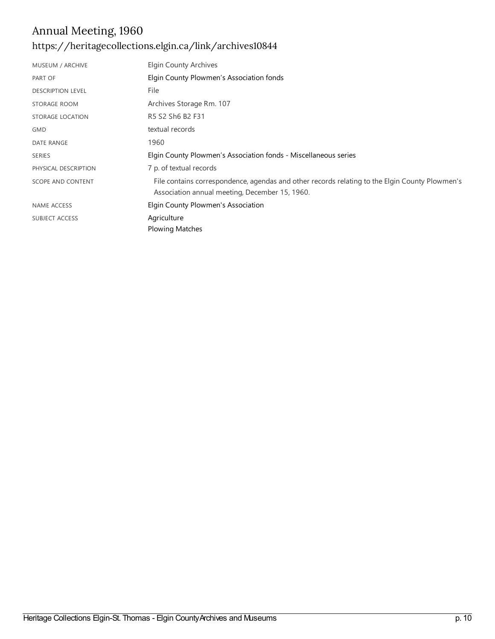## Annual Meeting, 1960 <https://heritagecollections.elgin.ca/link/archives10844>

| MUSEUM / ARCHIVE         | Elgin County Archives                                                                                                                            |
|--------------------------|--------------------------------------------------------------------------------------------------------------------------------------------------|
| PART OF                  | Elgin County Plowmen's Association fonds                                                                                                         |
| <b>DESCRIPTION LEVEL</b> | File                                                                                                                                             |
| STORAGE ROOM             | Archives Storage Rm. 107                                                                                                                         |
| STORAGE LOCATION         | R5 S2 Sh6 B2 F31                                                                                                                                 |
| <b>GMD</b>               | textual records                                                                                                                                  |
| DATE RANGE               | 1960                                                                                                                                             |
| <b>SERIES</b>            | Elgin County Plowmen's Association fonds - Miscellaneous series                                                                                  |
| PHYSICAL DESCRIPTION     | 7 p. of textual records                                                                                                                          |
| SCOPE AND CONTENT        | File contains correspondence, agendas and other records relating to the Elgin County Plowmen's<br>Association annual meeting, December 15, 1960. |
| <b>NAME ACCESS</b>       | Elgin County Plowmen's Association                                                                                                               |
| <b>SUBJECT ACCESS</b>    | Agriculture<br><b>Plowing Matches</b>                                                                                                            |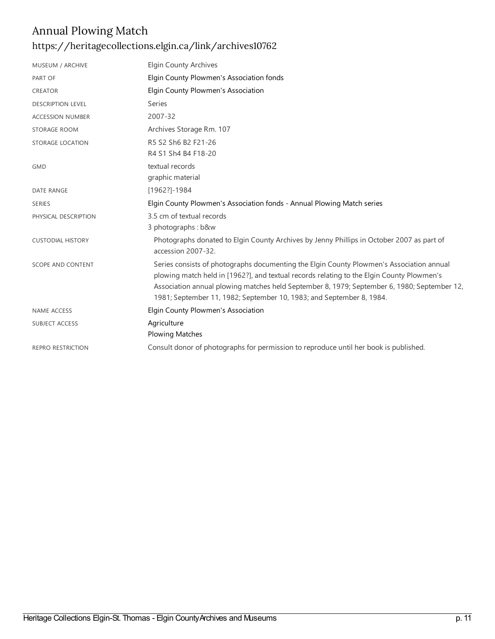## Annual Plowing Match <https://heritagecollections.elgin.ca/link/archives10762>

| MUSEUM / ARCHIVE         | <b>Elgin County Archives</b>                                                                                                                                                                                                                                                                                                                                 |
|--------------------------|--------------------------------------------------------------------------------------------------------------------------------------------------------------------------------------------------------------------------------------------------------------------------------------------------------------------------------------------------------------|
| PART OF                  | Elgin County Plowmen's Association fonds                                                                                                                                                                                                                                                                                                                     |
| CREATOR                  | Elgin County Plowmen's Association                                                                                                                                                                                                                                                                                                                           |
| <b>DESCRIPTION LEVEL</b> | Series                                                                                                                                                                                                                                                                                                                                                       |
| <b>ACCESSION NUMBER</b>  | 2007-32                                                                                                                                                                                                                                                                                                                                                      |
| STORAGE ROOM             | Archives Storage Rm. 107                                                                                                                                                                                                                                                                                                                                     |
| STORAGE LOCATION         | R5 S2 Sh6 B2 F21-26<br>R4 S1 Sh4 B4 F18-20                                                                                                                                                                                                                                                                                                                   |
| <b>GMD</b>               | textual records<br>graphic material                                                                                                                                                                                                                                                                                                                          |
| <b>DATE RANGE</b>        | [1962?]-1984                                                                                                                                                                                                                                                                                                                                                 |
| <b>SERIES</b>            | Elgin County Plowmen's Association fonds - Annual Plowing Match series                                                                                                                                                                                                                                                                                       |
| PHYSICAL DESCRIPTION     | 3.5 cm of textual records                                                                                                                                                                                                                                                                                                                                    |
|                          | 3 photographs: b&w                                                                                                                                                                                                                                                                                                                                           |
| <b>CUSTODIAL HISTORY</b> | Photographs donated to Elgin County Archives by Jenny Phillips in October 2007 as part of<br>accession 2007-32.                                                                                                                                                                                                                                              |
| SCOPE AND CONTENT        | Series consists of photographs documenting the Elgin County Plowmen's Association annual<br>plowing match held in [1962?], and textual records relating to the Elgin County Plowmen's<br>Association annual plowing matches held September 8, 1979; September 6, 1980; September 12,<br>1981; September 11, 1982; September 10, 1983; and September 8, 1984. |
| <b>NAME ACCESS</b>       | Elgin County Plowmen's Association                                                                                                                                                                                                                                                                                                                           |
| SUBJECT ACCESS           | Agriculture<br><b>Plowing Matches</b>                                                                                                                                                                                                                                                                                                                        |
| <b>REPRO RESTRICTION</b> | Consult donor of photographs for permission to reproduce until her book is published.                                                                                                                                                                                                                                                                        |
|                          |                                                                                                                                                                                                                                                                                                                                                              |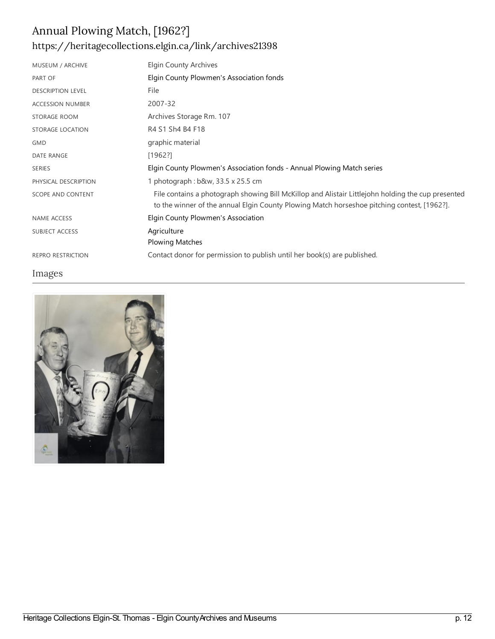## Annual Plowing Match, [1962?] <https://heritagecollections.elgin.ca/link/archives21398>

| MUSEUM / ARCHIVE         | <b>Elgin County Archives</b>                                                                                                                                                                      |
|--------------------------|---------------------------------------------------------------------------------------------------------------------------------------------------------------------------------------------------|
| PART OF                  | Elgin County Plowmen's Association fonds                                                                                                                                                          |
| <b>DESCRIPTION LEVEL</b> | File                                                                                                                                                                                              |
| <b>ACCESSION NUMBER</b>  | 2007-32                                                                                                                                                                                           |
| STORAGE ROOM             | Archives Storage Rm. 107                                                                                                                                                                          |
| STORAGE LOCATION         | R4 S1 Sh4 B4 F18                                                                                                                                                                                  |
| <b>GMD</b>               | graphic material                                                                                                                                                                                  |
| <b>DATE RANGE</b>        | [1962!]                                                                                                                                                                                           |
| <b>SERIES</b>            | Elgin County Plowmen's Association fonds - Annual Plowing Match series                                                                                                                            |
| PHYSICAL DESCRIPTION     | 1 photograph : b&w, 33.5 x 25.5 cm                                                                                                                                                                |
| <b>SCOPE AND CONTENT</b> | File contains a photograph showing Bill McKillop and Alistair Littlejohn holding the cup presented<br>to the winner of the annual Elgin County Plowing Match horseshoe pitching contest, [1962?]. |
| <b>NAME ACCESS</b>       | Elgin County Plowmen's Association                                                                                                                                                                |
| SUBJECT ACCESS           | Agriculture                                                                                                                                                                                       |
|                          | <b>Plowing Matches</b>                                                                                                                                                                            |
| <b>REPRO RESTRICTION</b> | Contact donor for permission to publish until her book(s) are published.                                                                                                                          |

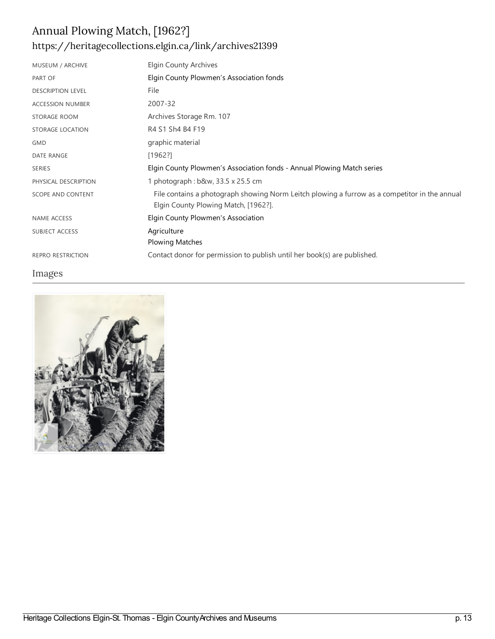## Annual Plowing Match, [1962?] <https://heritagecollections.elgin.ca/link/archives21399>

| MUSEUM / ARCHIVE         | Elgin County Archives                                                                                                                 |
|--------------------------|---------------------------------------------------------------------------------------------------------------------------------------|
| PART OF                  | Elgin County Plowmen's Association fonds                                                                                              |
| <b>DESCRIPTION LEVEL</b> | File                                                                                                                                  |
| <b>ACCESSION NUMBER</b>  | 2007-32                                                                                                                               |
| STORAGE ROOM             | Archives Storage Rm. 107                                                                                                              |
| STORAGE LOCATION         | R4 S1 Sh4 B4 F19                                                                                                                      |
| <b>GMD</b>               | graphic material                                                                                                                      |
| <b>DATE RANGE</b>        | [1962!]                                                                                                                               |
| <b>SERIES</b>            | Elgin County Plowmen's Association fonds - Annual Plowing Match series                                                                |
| PHYSICAL DESCRIPTION     | 1 photograph: b&w, 33.5 x 25.5 cm                                                                                                     |
| <b>SCOPE AND CONTENT</b> | File contains a photograph showing Norm Leitch plowing a furrow as a competitor in the annual<br>Elgin County Plowing Match, [1962?]. |
| <b>NAME ACCESS</b>       | Elgin County Plowmen's Association                                                                                                    |
| <b>SUBJECT ACCESS</b>    | Agriculture                                                                                                                           |
|                          | <b>Plowing Matches</b>                                                                                                                |
| <b>REPRO RESTRICTION</b> | Contact donor for permission to publish until her book(s) are published.                                                              |

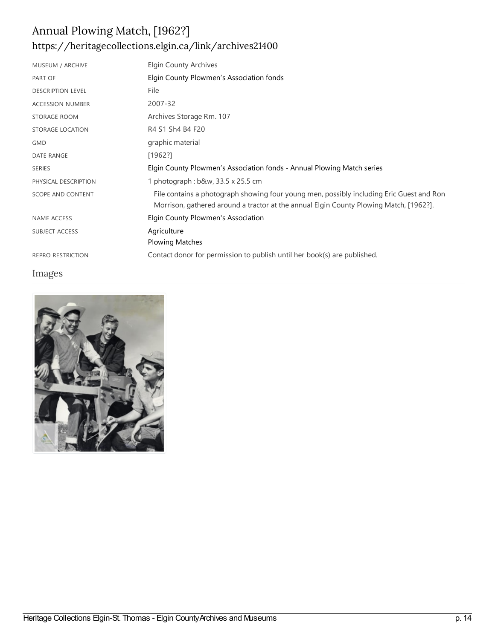# Annual Plowing Match, [1962?] <https://heritagecollections.elgin.ca/link/archives21400>

| MUSEUM / ARCHIVE         | Elgin County Archives                                                                                                                                                              |
|--------------------------|------------------------------------------------------------------------------------------------------------------------------------------------------------------------------------|
| PART OF                  | Elgin County Plowmen's Association fonds                                                                                                                                           |
| <b>DESCRIPTION LEVEL</b> | File                                                                                                                                                                               |
| <b>ACCESSION NUMBER</b>  | 2007-32                                                                                                                                                                            |
| STORAGE ROOM             | Archives Storage Rm. 107                                                                                                                                                           |
| STORAGE LOCATION         | R4 S1 Sh4 B4 F20                                                                                                                                                                   |
| <b>GMD</b>               | graphic material                                                                                                                                                                   |
| <b>DATE RANGE</b>        | [1962?]                                                                                                                                                                            |
| <b>SERIES</b>            | Elgin County Plowmen's Association fonds - Annual Plowing Match series                                                                                                             |
| PHYSICAL DESCRIPTION     | 1 photograph : b&w, 33.5 x 25.5 cm                                                                                                                                                 |
| <b>SCOPE AND CONTENT</b> | File contains a photograph showing four young men, possibly including Eric Guest and Ron<br>Morrison, gathered around a tractor at the annual Elgin County Plowing Match, [1962?]. |
| <b>NAME ACCESS</b>       | Elgin County Plowmen's Association                                                                                                                                                 |
| <b>SUBJECT ACCESS</b>    | Agriculture                                                                                                                                                                        |
|                          | <b>Plowing Matches</b>                                                                                                                                                             |
| <b>REPRO RESTRICTION</b> | Contact donor for permission to publish until her book(s) are published.                                                                                                           |

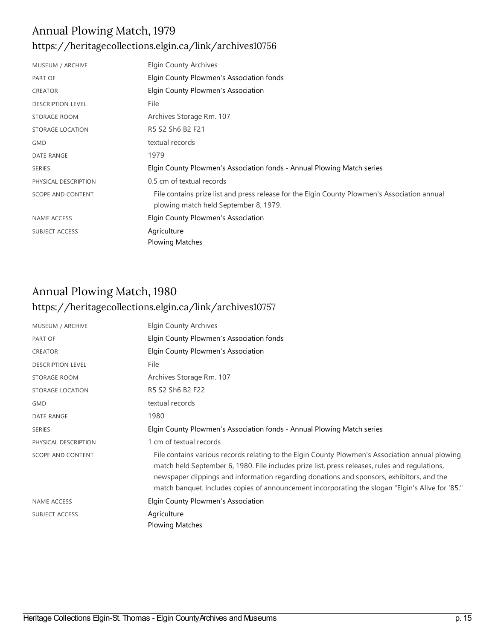#### Annual Plowing Match, 1979 <https://heritagecollections.elgin.ca/link/archives10756>

| MUSEUM / ARCHIVE         | Elgin County Archives                                                                                                                 |
|--------------------------|---------------------------------------------------------------------------------------------------------------------------------------|
| PART OF                  | Elgin County Plowmen's Association fonds                                                                                              |
| <b>CREATOR</b>           | Elgin County Plowmen's Association                                                                                                    |
| <b>DESCRIPTION LEVEL</b> | File                                                                                                                                  |
| STORAGE ROOM             | Archives Storage Rm. 107                                                                                                              |
| STORAGE LOCATION         | R5 S2 Sh6 B2 F21                                                                                                                      |
| <b>GMD</b>               | textual records                                                                                                                       |
| <b>DATE RANGE</b>        | 1979                                                                                                                                  |
| <b>SERIES</b>            | Elgin County Plowmen's Association fonds - Annual Plowing Match series                                                                |
| PHYSICAL DESCRIPTION     | 0.5 cm of textual records                                                                                                             |
| <b>SCOPE AND CONTENT</b> | File contains prize list and press release for the Elgin County Plowmen's Association annual<br>plowing match held September 8, 1979. |
| <b>NAME ACCESS</b>       | Elgin County Plowmen's Association                                                                                                    |
| <b>SUBJECT ACCESS</b>    | Agriculture                                                                                                                           |
|                          | <b>Plowing Matches</b>                                                                                                                |

### Annual Plowing Match, 1980 <https://heritagecollections.elgin.ca/link/archives10757>

| MUSEUM / ARCHIVE         | <b>Elgin County Archives</b>                                                                                                                                                                                                                                                                                                                                                                       |
|--------------------------|----------------------------------------------------------------------------------------------------------------------------------------------------------------------------------------------------------------------------------------------------------------------------------------------------------------------------------------------------------------------------------------------------|
| PART OF                  | Elgin County Plowmen's Association fonds                                                                                                                                                                                                                                                                                                                                                           |
| <b>CREATOR</b>           | Elgin County Plowmen's Association                                                                                                                                                                                                                                                                                                                                                                 |
| <b>DESCRIPTION LEVEL</b> | File                                                                                                                                                                                                                                                                                                                                                                                               |
| <b>STORAGE ROOM</b>      | Archives Storage Rm. 107                                                                                                                                                                                                                                                                                                                                                                           |
| STORAGE LOCATION         | R5 S2 Sh6 B2 F22                                                                                                                                                                                                                                                                                                                                                                                   |
| <b>GMD</b>               | textual records                                                                                                                                                                                                                                                                                                                                                                                    |
| <b>DATE RANGE</b>        | 1980                                                                                                                                                                                                                                                                                                                                                                                               |
| <b>SERIES</b>            | Elgin County Plowmen's Association fonds - Annual Plowing Match series                                                                                                                                                                                                                                                                                                                             |
| PHYSICAL DESCRIPTION     | 1 cm of textual records                                                                                                                                                                                                                                                                                                                                                                            |
| <b>SCOPE AND CONTENT</b> | File contains various records relating to the Elgin County Plowmen's Association annual plowing<br>match held September 6, 1980. File includes prize list, press releases, rules and regulations,<br>newspaper clippings and information regarding donations and sponsors, exhibitors, and the<br>match banquet. Includes copies of announcement incorporating the slogan "Elgin's Alive for '85." |
| <b>NAME ACCESS</b>       | Elgin County Plowmen's Association                                                                                                                                                                                                                                                                                                                                                                 |
| <b>SUBJECT ACCESS</b>    | Agriculture                                                                                                                                                                                                                                                                                                                                                                                        |
|                          | <b>Plowing Matches</b>                                                                                                                                                                                                                                                                                                                                                                             |